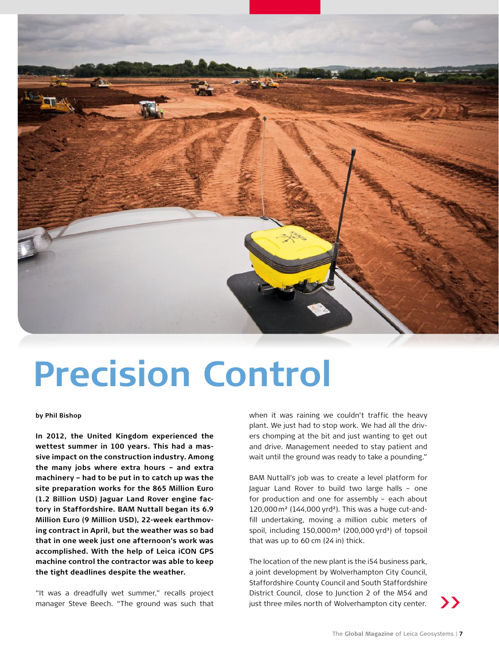

## **Precision Control**

**by Phil Bishop** 

**In 2012, the United Kingdom experienced the wettest summer in 100 years. This had a massive impact on the construction industry. Among the many jobs where extra hours – and extra machinery – had to be put in to catch up was the site preparation works for the 865 Million Euro (1.2 Billion USD) Jaguar Land Rover engine factory in Staffordshire. BAM Nuttall began its 6.9 Million Euro (9 Million USD), 22-week earthmoving contract in April, but the weather was so bad that in one week just one afternoon's work was accomplished. With the help of Leica iCON GPS machine control the contractor was able to keep the tight deadlines despite the weather.** 

"It was a dreadfully wet summer," recalls project manager Steve Beech. "The ground was such that

when it was raining we couldn't traffic the heavy plant. We just had to stop work. We had all the drivers chomping at the bit and just wanting to get out and drive. Management needed to stay patient and wait until the ground was ready to take a pounding."

BAM Nuttall's job was to create a level platform for Jaguar Land Rover to build two large halls – one for production and one for assembly – each about 120,000m² (144,000 yrd²). This was a huge cut-andfill undertaking, moving a million cubic meters of spoil, including  $150,000$  m<sup>3</sup> (200,000 yrd<sup>3</sup>) of topsoil that was up to 60 cm (24 in) thick.

The location of the new plant is the i54 business park, a joint development by Wolverhampton City Council, Staffordshire County Council and South Staffordshire District Council, close to Junction 2 of the M54 and just three miles north of Wolverhampton city center.

**>>**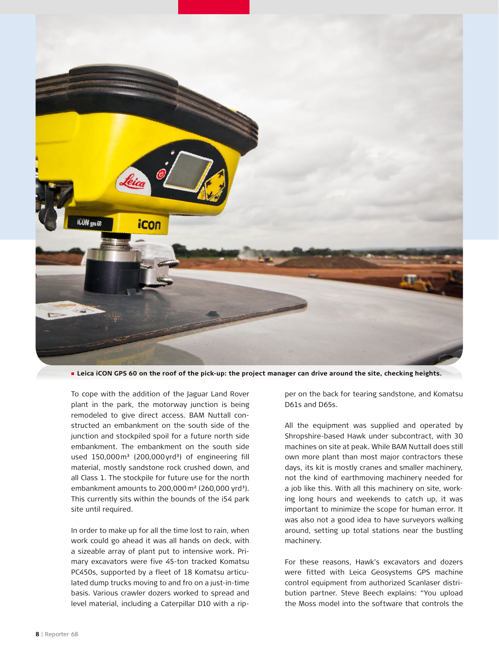

**Leica iCON GPS 60 on the roof of the pick-up: the project manager can drive around the site, checking heights.**

To cope with the addition of the Jaguar Land Rover plant in the park, the motorway junction is being remodeled to give direct access. BAM Nuttall constructed an embankment on the south side of the junction and stockpiled spoil for a future north side embankment. The embankment on the south side used 150,000m<sup>3</sup> (200,000yrd<sup>3</sup>) of engineering fill material, mostly sandstone rock crushed down, and all Class 1. The stockpile for future use for the north embankment amounts to  $200,000$  m<sup>2</sup> (260,000 yrd<sup>3</sup>). This currently sits within the bounds of the i54 park site until required.

In order to make up for all the time lost to rain, when work could go ahead it was all hands on deck, with a sizeable array of plant put to intensive work. Primary excavators were five 45-ton tracked Komatsu PC450s, supported by a fleet of 18 Komatsu articulated dump trucks moving to and fro on a just-in-time basis. Various crawler dozers worked to spread and level material, including a Caterpillar D10 with a rip-

per on the back for tearing sandstone, and Komatsu D61s and D65s.

All the equipment was supplied and operated by Shropshire-based Hawk under subcontract, with 30 machines on site at peak. While BAM Nuttall does still own more plant than most major contractors these days, its kit is mostly cranes and smaller machinery, not the kind of earthmoving machinery needed for a job like this. With all this machinery on site, working long hours and weekends to catch up, it was important to minimize the scope for human error. It was also not a good idea to have surveyors walking around, setting up total stations near the bustling machinery.

For these reasons, Hawk's excavators and dozers were fitted with Leica Geosystems GPS machine control equipment from authorized Scanlaser distribution partner. Steve Beech explains: "You upload the Moss model into the software that controls the